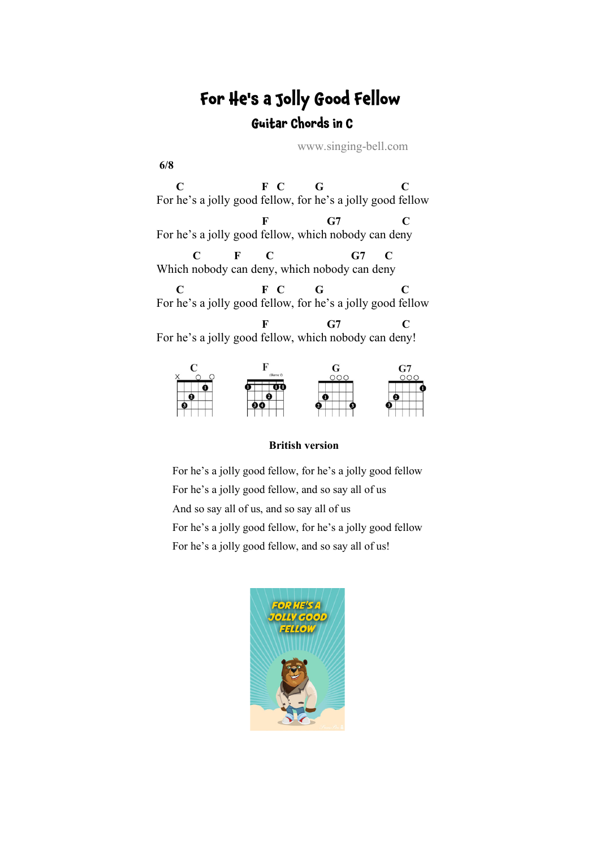## **For He's a Jolly Good Fellow Guitar Chords in C**

www.singing-bell.com

**6/8 C F C G C** For he's a jolly good fellow, for he's a jolly good fellow For he's a jolly good fellow, which nobody can deny **F** G7 C  **C F C G7 C** Which nobody can deny, which nobody can deny  **C F C G C** For he's a jolly good fellow, for he's a jolly good fellow **F** G7 C For he's a jolly good fellow, which nobody can deny!



#### **British version**

For he's a jolly good fellow, for he's a jolly good fellow For he's a jolly good fellow, and so say all of us And so say all of us, and so say all of us For he's a jolly good fellow, for he's a jolly good fellow For he's a jolly good fellow, and so say all of us!

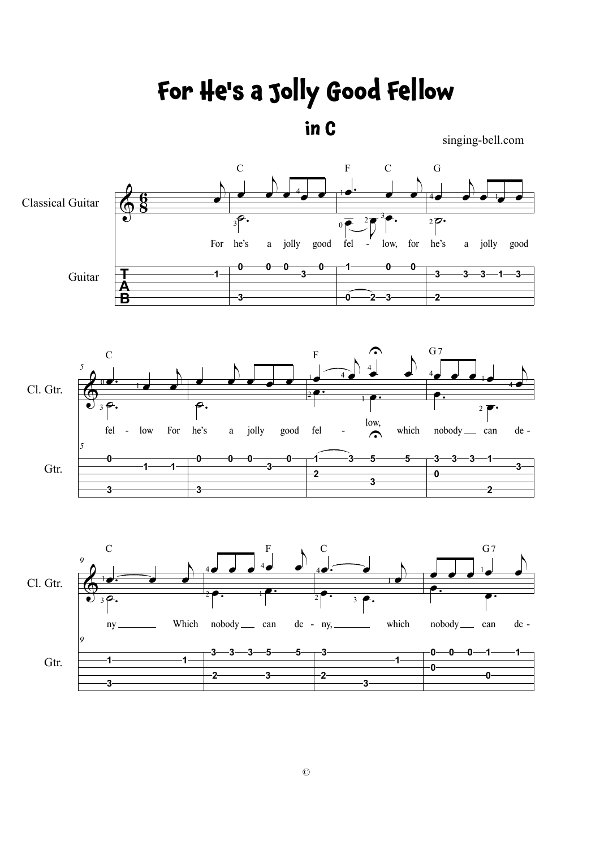## **For He's a Jolly Good Fellow**



singing-bell.com

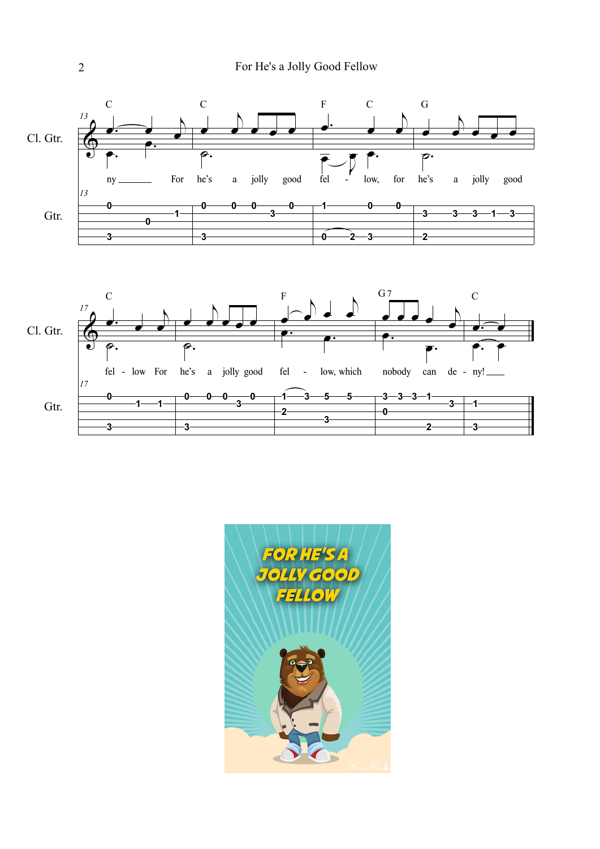

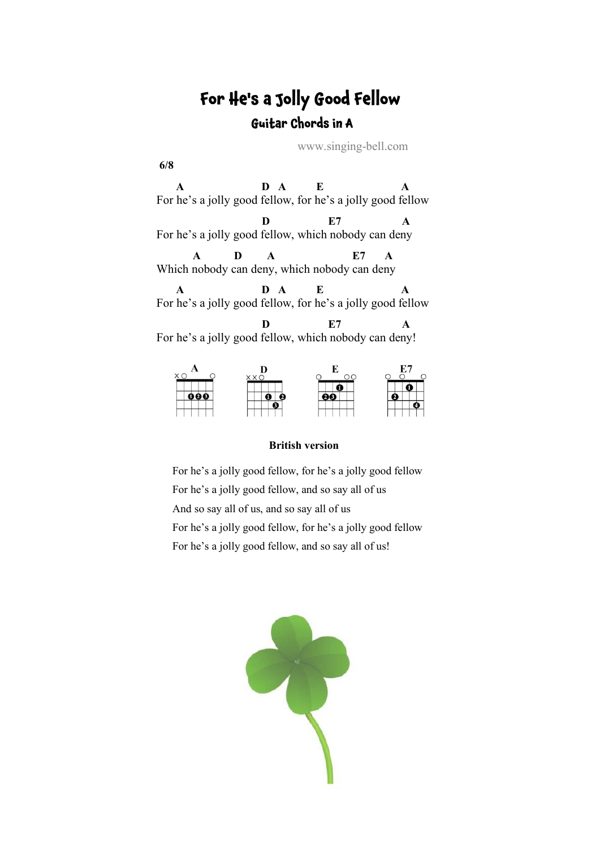### **For He's a Jolly Good Fellow Guitar Chords in A**

www.singing-bell.com

**6/8 A D A E A** For he's a jolly good fellow, for he's a jolly good fellow For he's a jolly good fellow, which nobody can deny **D** E7 A  **A D A E7 A** Which nobody can deny, which nobody can deny **A D A E A** For he's a jolly good fellow, for he's a jolly good fellow **D** E7 A For he's a jolly good fellow, which nobody can deny!



#### **British version**

For he's a jolly good fellow, for he's a jolly good fellow For he's a jolly good fellow, and so say all of us And so say all of us, and so say all of us For he's a jolly good fellow, for he's a jolly good fellow For he's a jolly good fellow, and so say all of us!

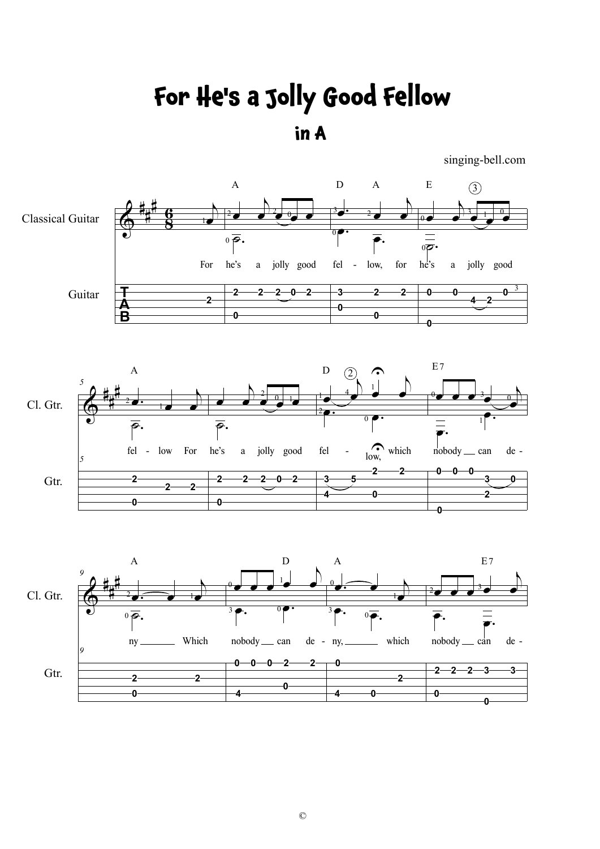# **For He's a Jolly Good Fellow**

**in A**

singing-bell.com